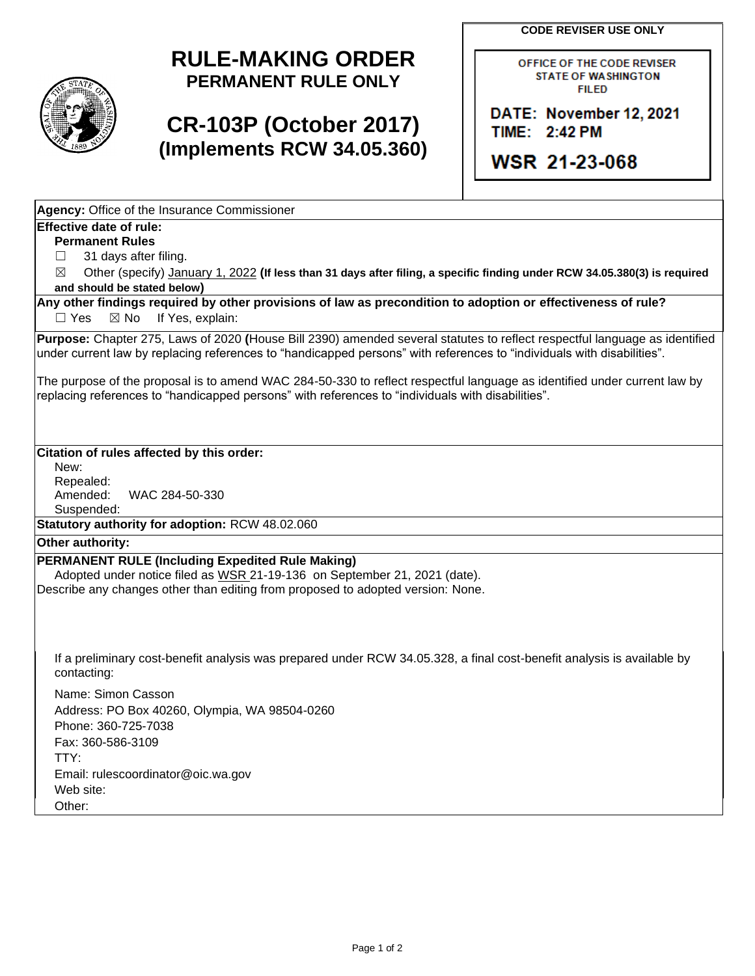**CODE REVISER USE ONLY** 



# **RULE-MAKING ORDER PERMANENT RULE ONLY**

# **CR-103P (October 2017) (Implements RCW 34.05.360)**

OFFICE OF THE CODE REVISER STATE OF WASHINGTON FIILED

**DATE: November 12, 2021 TIME: .2:4.2 PM** 

**WSR 21-23-068** 

**Agency:** Office of the Insurance Commissioner

### **Effective date of rule:**

**Permanent Rules** 

 $\Box$ 31 days after filing.

 $\boxtimes$ Other (specify) January 1, 2022 (If less than 31 days after filing, a specific finding under RCW 34.05.380(3) is required **and should be stated below)** 

 $\Box$  Yes **Any other findings required by other provisions of law as precondition to adoption or effectiveness of rule?**   $\boxtimes$  No If Yes, explain:

**Purpose:** Chapter 275, Laws of 2020 **(**House Bill 2390) amended several statutes to reflect respectful language as identified under current law by replacing references to "handicapped persons" with references to "individuals with disabilities".

 The purpose of the proposal is to amend WAC 284-50-330 to reflect respectful language as identified under current law by replacing references to "handicapped persons" with references to "individuals with disabilities".

### **Citation of rules affected by this order:**

New: Repealed: Amended: WAC 284-50-330 Suspended:

**Statutory authority for adoption:** RCW 48.02.060

**Other authority:** 

#### **PERMANENT RULE (Including Expedited Rule Making)**

Adopted under notice filed as WSR 21-19-136 on September 21, 2021 (date). Describe any changes other than editing from proposed to adopted version: None.

If a preliminary cost-benefit analysis was prepared under RCW 34.05.328, a final cost-benefit analysis is available by contacting:

Name: Simon Casson Address: PO Box 40260, Olympia, WA 98504-0260 Phone: 360-725-7038 Fax: 360-586-3109 TTY: Email: rulescoordinator@oic.wa.gov Web site: Other: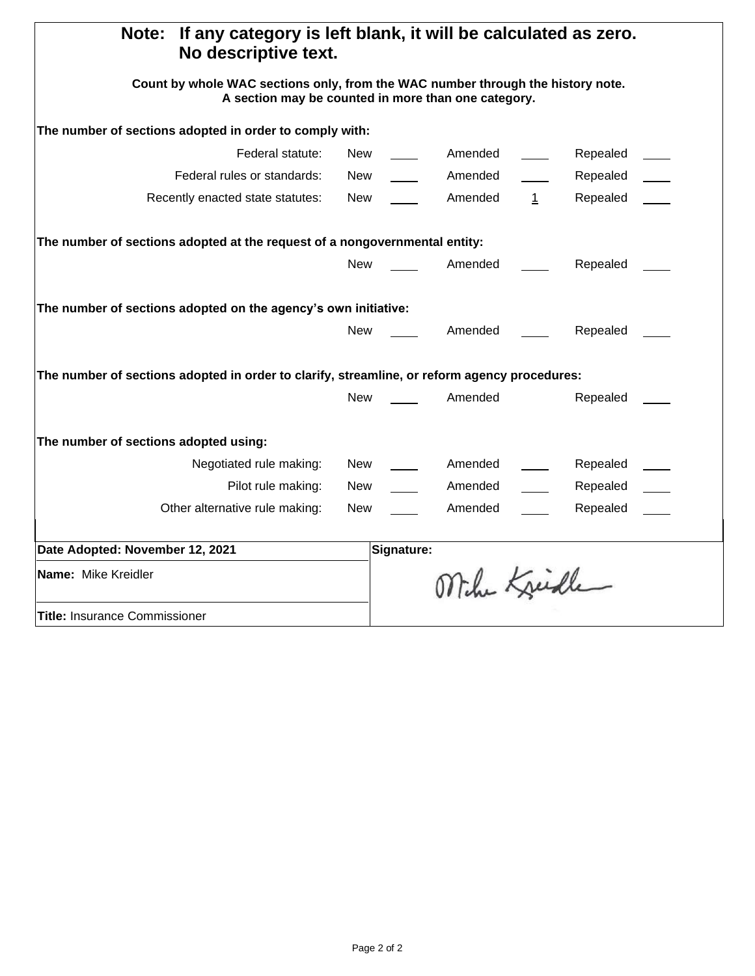| If any category is left blank, it will be calculated as zero.<br>Note:<br>No descriptive text.                                         |            |            |              |              |          |  |
|----------------------------------------------------------------------------------------------------------------------------------------|------------|------------|--------------|--------------|----------|--|
| Count by whole WAC sections only, from the WAC number through the history note.<br>A section may be counted in more than one category. |            |            |              |              |          |  |
| The number of sections adopted in order to comply with:                                                                                |            |            |              |              |          |  |
| Federal statute:                                                                                                                       | New        |            | Amended      |              | Repealed |  |
| Federal rules or standards:                                                                                                            | New        |            | Amended      |              | Repealed |  |
| Recently enacted state statutes:                                                                                                       | New        |            | Amended      | $\mathbf{1}$ | Repealed |  |
| The number of sections adopted at the request of a nongovernmental entity:                                                             |            |            |              |              |          |  |
|                                                                                                                                        | <b>New</b> |            | Amended      |              | Repealed |  |
| The number of sections adopted on the agency's own initiative:                                                                         |            |            |              |              |          |  |
|                                                                                                                                        | New        |            | Amended      |              | Repealed |  |
| The number of sections adopted in order to clarify, streamline, or reform agency procedures:                                           |            |            |              |              |          |  |
|                                                                                                                                        | <b>New</b> |            | Amended      |              | Repealed |  |
| The number of sections adopted using:                                                                                                  |            |            |              |              |          |  |
| Negotiated rule making:                                                                                                                | New        |            | Amended      |              | Repealed |  |
| Pilot rule making:                                                                                                                     | New        |            | Amended      |              | Repealed |  |
| Other alternative rule making:                                                                                                         | New        |            | Amended      |              | Repealed |  |
| Date Adopted: November 12, 2021                                                                                                        |            | Signature: |              |              |          |  |
| Name: Mike Kreidler                                                                                                                    |            |            | Mihe Kreiche |              |          |  |
| <b>Title:</b> Insurance Commissioner                                                                                                   |            |            |              |              |          |  |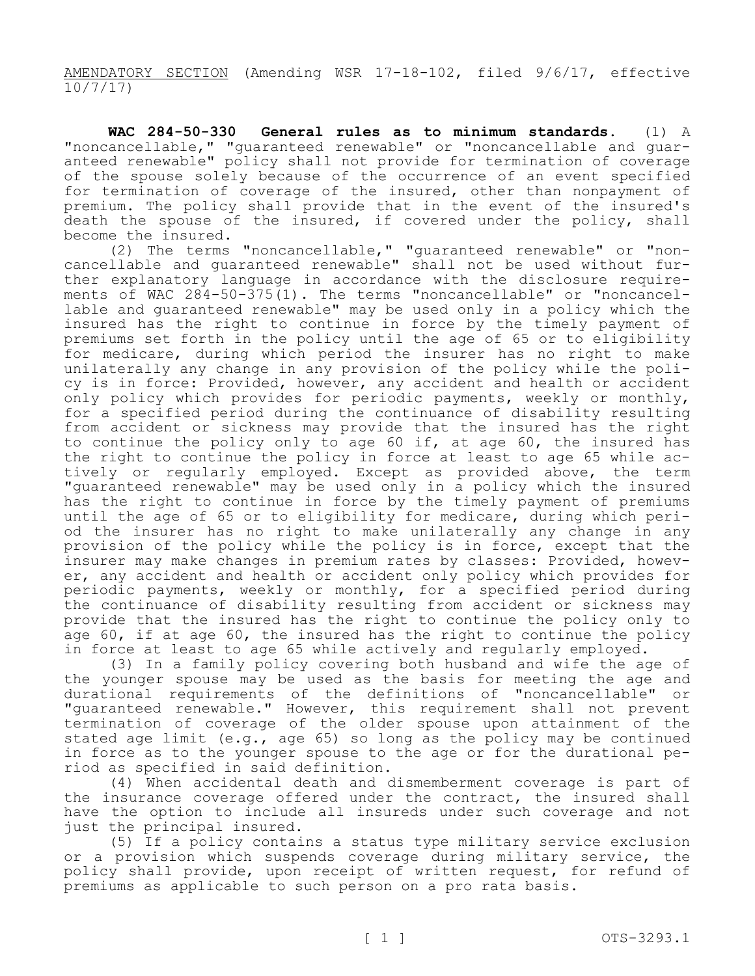AMENDATORY SECTION (Amending WSR 17-18-102, filed 9/6/17, effective 10/7/17)

**WAC 284-50-330 General rules as to minimum standards.** (1) A "noncancellable," "quaranteed renewable" or "noncancellable and guar-General rules as to minimum standards. (1) A anteed renewable" policy shall not provide for termination of coverage of the spouse solely because of the occurrence of an event specified for termination of coverage of the insured, other than nonpayment of premium. The policy shall provide that in the event of the insured's death the spouse of the insured, if covered under the policy, shall

become the insured.<br>(2) The terms "noncancellable," "quaranteed renewable" or "noncancellable and guaranteed renewable" shall not be used without fur-<br>ther explanatory language in accordance with the disclosure require-<br>ments of WAC 284-50-375(1). The terms "noncancellable" or "noncancel-<br>lable and quar insured has the right to continue in force by the timely payment of premiums set forth in the policy until the age of 65 or to eligibility for medicare, during which period the insurer has no right to make<br>unilaterally any change in any provision of the policy while the policy is in force: Provided, however, any accident and health or accident only policy which provides for periodic payments, weekly or monthly, for a specified period during the continuance of disability resulting from accident or sickness may provide that the insured has the right to continue the policy only to age 60 if, at age 60, the insured has<br>the right to continue the policy in force at least to age 65 while actively or regularly employed. Except as provided above, the term "guaranteed renewable" may be used only in a policy which the insured has the right to continue in force by the timely payment of premiums until the age of 65 or to eligibility for medicare, during which peri-<br>od the insurer has no right to make unilaterally any change in any provision of the policy while the policy is in force, except that the insurer may make changes in premium rates by classes: Provided, howev-<br>er, any accident and health or accident only policy which provides for periodic payments, weekly or monthly, for a specified period during the continuance of disability resulting from accident or sickness may provide that the insured has the right to continue the policy only to age 60, if at age 60, the insured has the right to continue the policy in force at least to age 65 while actively and regularly employed.

(3) In a family policy covering both husband and wife the age of the younger spouse may be used as the basis for meeting the age and durational requirements of the definitions of "noncancellable" or "guaranteed renewable." However, this requirement shall not prevent termination of coverage of the older spouse upon attainment of the stated age limit (e.g., age 65) so long as the policy may be continued in force as to the younger spouse to the age or for the durational period as specified in said definition.

(4) When accidental death and dismemberment coverage is part of the insurance coverage offered under the contract, the insured shall have the option to include all insureds under such coverage and not just the principal insured.

(5) If a policy contains a status type military service exclusion or a provision which suspends coverage during military service, the policy shall provide, upon receipt of written request, for refund of premiums as applicable to such person on a pro rata basis.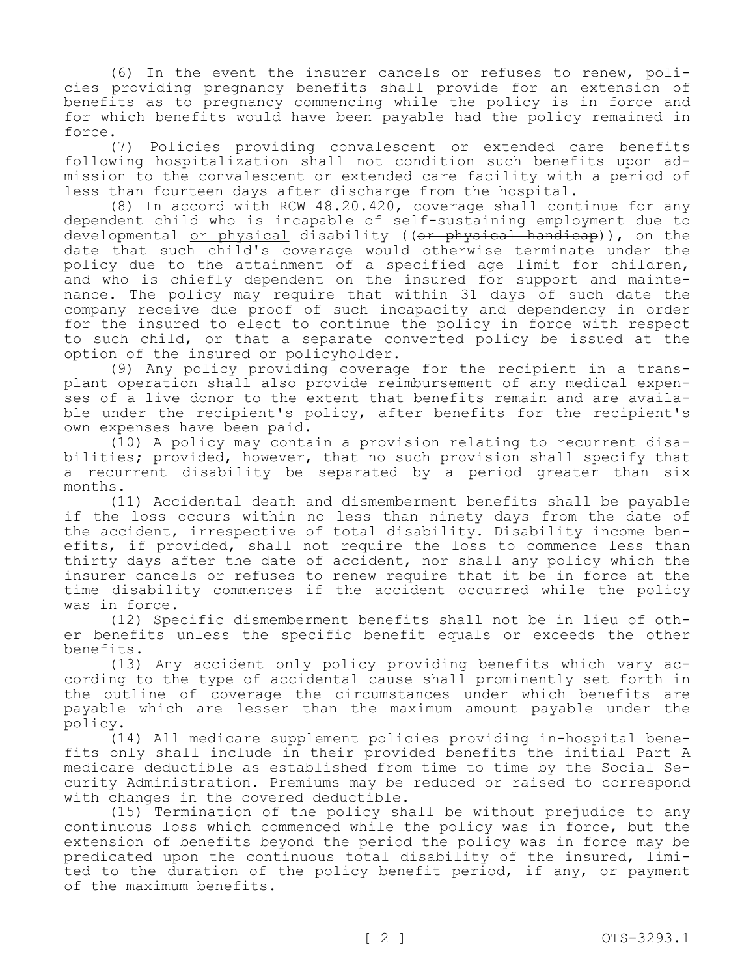(6) In the event the insurer cancels or refuses to renew, poli- cies providing pregnancy benefits shall provide for an extension of benefits as to pregnancy commencing while the policy is in force and for which benefits would have been payable had the policy remained in force.

(7) Policies providing convalescent or extended care benefits<br>following hospitalization shall not condition such benefits upon admission to the convalescent or extended care facility with a period of less than fourteen days after discharge from the hospital.

(8) In accord with RCW 48.20.420, coverage shall continue for any dependent child who is incapable of self-sustaining employment due to developmental or physical disability ((or physical handicap)), on the date that such child's coverage would otherwise terminate under the policy due to the attainment of a specified age limit for children, and who is chiefly dependent on the insured for support and mainte-<br>nance. The policy may require that within 31 days of such date the company receive due proof of such incapacity and dependency in order for the insured to elect to continue the policy in force with respect to such child, or that a separate converted policy be issued at the option of the insured or policyholder.<br>(9) Any policy providing coverage for the recipient in a trans-

plant operation shall also provide reimbursement of any medical expen-<br>ses of a live donor to the extent that benefits remain and are availa-<br>ble under the recipient's policy, after benefits for the recipient's own expenses have been paid.

(10) A policy may contain a provision relating to recurrent disa- bilities; provided, however, that no such provision shall specify that a recurrent disability be separated by a period greater than six months.

(11) Accidental death and dismemberment benefits shall be payable if the loss occurs within no less than ninety days from the date of<br>the accident, irrespective of total disability. Disability income benefits, if provided, shall not require the loss to commence less than thirty days after the date of accident, nor shall any policy which the insurer cancels or refuses to renew require that it be in force at the time disability commences if the accident occurred while the policy

was in force.<br>(12) Specific dismemberment benefits shall not be in lieu of other benefits unless the specific benefit equals or exceeds the other

benefits.<br>(13) Any accident only policy providing benefits which vary according to the type of accidental cause shall prominently set forth in the outline of coverage the circumstances under which benefits are payable which are lesser than the maximum amount payable under the policy.

(14) All medicare supplement policies providing in-hospital benefits only shall include in their provided benefits the initial Part A medicare deductible as established from time to time by the Social Security Administration. Premiums may be reduced or raised to correspond with changes in the covered deductible.

(15) Termination of the policy shall be without prejudice to any continuous loss which commenced while the policy was in force, but the extension of benefits beyond the period the policy was in force may be predicated upon the continuous total disability of the insured, limited to the duration of the policy benefit period, if any, or payment of the maximum benefits.